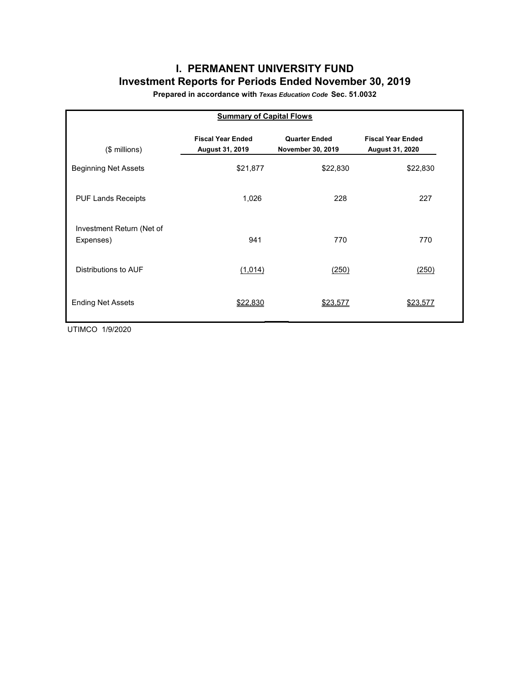# **I. PERMANENT UNIVERSITY FUND Investment Reports for Periods Ended November 30, 2019**

**Prepared in accordance with** *Texas Education Code* **Sec. 51.0032**

| <b>Summary of Capital Flows</b>        |                                             |                                           |                                             |  |  |  |  |  |  |  |
|----------------------------------------|---------------------------------------------|-------------------------------------------|---------------------------------------------|--|--|--|--|--|--|--|
| (\$ millions)                          | <b>Fiscal Year Ended</b><br>August 31, 2019 | <b>Quarter Ended</b><br>November 30, 2019 | <b>Fiscal Year Ended</b><br>August 31, 2020 |  |  |  |  |  |  |  |
| <b>Beginning Net Assets</b>            | \$21,877                                    | \$22,830                                  | \$22,830                                    |  |  |  |  |  |  |  |
| <b>PUF Lands Receipts</b>              | 1,026                                       | 228                                       | 227                                         |  |  |  |  |  |  |  |
| Investment Return (Net of<br>Expenses) | 941                                         | 770                                       | 770                                         |  |  |  |  |  |  |  |
| Distributions to AUF                   | (1,014)                                     | (250)                                     | (250)                                       |  |  |  |  |  |  |  |
| <b>Ending Net Assets</b>               | \$22,830                                    | \$23,577                                  | \$23,577                                    |  |  |  |  |  |  |  |

UTIMCO 1/9/2020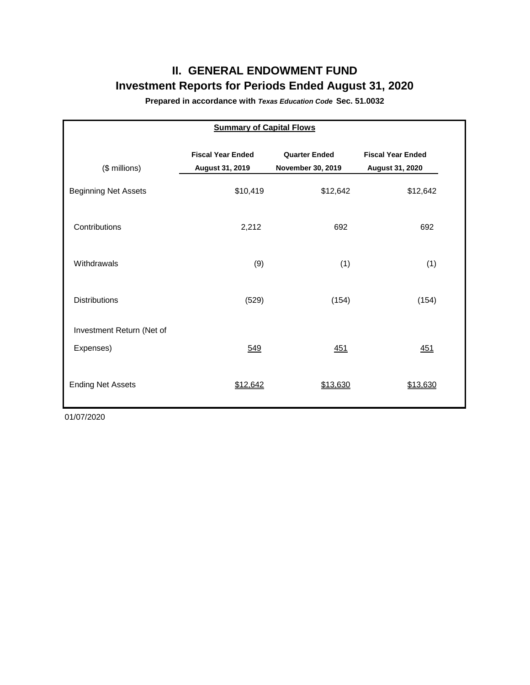# **II. GENERAL ENDOWMENT FUND Investment Reports for Periods Ended August 31, 2020**

**Prepared in accordance with** *Texas Education Code* **Sec. 51.0032**

| <b>Summary of Capital Flows</b>        |                                             |                                           |                                             |  |  |  |  |  |  |  |
|----------------------------------------|---------------------------------------------|-------------------------------------------|---------------------------------------------|--|--|--|--|--|--|--|
| (\$ millions)                          | <b>Fiscal Year Ended</b><br>August 31, 2019 | <b>Quarter Ended</b><br>November 30, 2019 | <b>Fiscal Year Ended</b><br>August 31, 2020 |  |  |  |  |  |  |  |
| <b>Beginning Net Assets</b>            | \$10,419                                    | \$12,642                                  | \$12,642                                    |  |  |  |  |  |  |  |
| Contributions                          | 2,212                                       | 692                                       | 692                                         |  |  |  |  |  |  |  |
| Withdrawals                            | (9)                                         | (1)                                       | (1)                                         |  |  |  |  |  |  |  |
| <b>Distributions</b>                   | (529)                                       | (154)                                     | (154)                                       |  |  |  |  |  |  |  |
| Investment Return (Net of<br>Expenses) | 549                                         | 451                                       | 451                                         |  |  |  |  |  |  |  |
| <b>Ending Net Assets</b>               | \$12,642                                    | \$13,630                                  | \$13.630                                    |  |  |  |  |  |  |  |

01/07/2020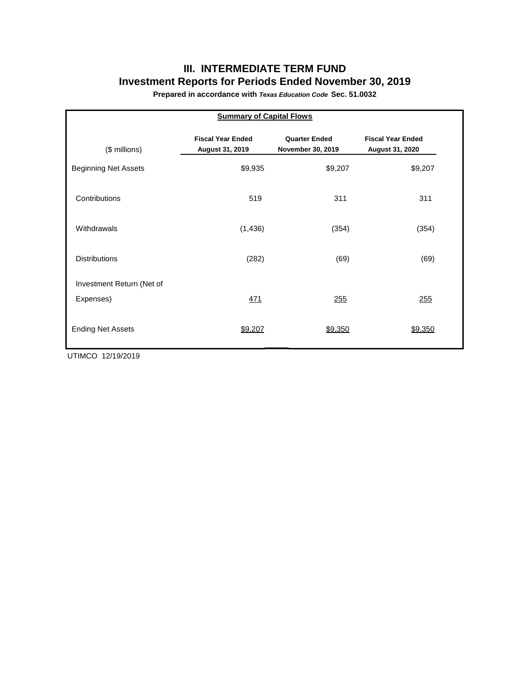# **III. INTERMEDIATE TERM FUND Investment Reports for Periods Ended November 30, 2019**

**Prepared in accordance with** *Texas Education Code* **Sec. 51.0032**

| <b>Summary of Capital Flows</b> |                                             |                                           |                                             |  |  |  |  |  |  |  |
|---------------------------------|---------------------------------------------|-------------------------------------------|---------------------------------------------|--|--|--|--|--|--|--|
| (\$ millions)                   | <b>Fiscal Year Ended</b><br>August 31, 2019 | <b>Quarter Ended</b><br>November 30, 2019 | <b>Fiscal Year Ended</b><br>August 31, 2020 |  |  |  |  |  |  |  |
| <b>Beginning Net Assets</b>     | \$9,935                                     | \$9,207                                   | \$9,207                                     |  |  |  |  |  |  |  |
| Contributions                   | 519                                         | 311                                       | 311                                         |  |  |  |  |  |  |  |
| Withdrawals                     | (1, 436)                                    | (354)                                     | (354)                                       |  |  |  |  |  |  |  |
| <b>Distributions</b>            | (282)                                       | (69)                                      | (69)                                        |  |  |  |  |  |  |  |
| Investment Return (Net of       |                                             |                                           |                                             |  |  |  |  |  |  |  |
| Expenses)                       | 471                                         | 255                                       | 255                                         |  |  |  |  |  |  |  |
| <b>Ending Net Assets</b>        | \$9,207                                     | \$9,350                                   | \$9,350                                     |  |  |  |  |  |  |  |

UTIMCO 12/19/2019